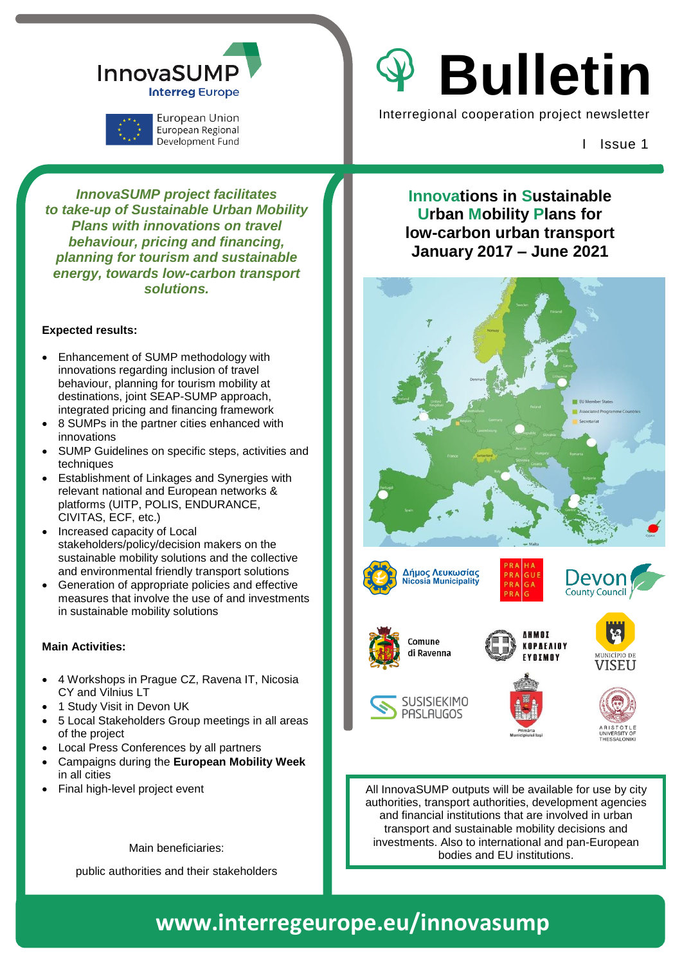

European Regional **I** Issue 1 Issue 1

*InnovaSUMP project facilitates to take-up of Sustainable Urban Mobility Plans with innovations on travel behaviour, pricing and financing, planning for tourism and sustainable energy, towards low-carbon transport solutions.*

#### **Expected results:**

- Enhancement of SUMP methodology with innovations regarding inclusion of travel behaviour, planning for tourism mobility at destinations, joint SEAP-SUMP approach, integrated pricing and financing framework
- 8 SUMPs in the partner cities enhanced with innovations
- SUMP Guidelines on specific steps, activities and techniques
- Establishment of Linkages and Synergies with relevant national and European networks & platforms (UITP, POLIS, ENDURANCE, CIVITAS, ECF, etc.)
- Increased capacity of Local stakeholders/policy/decision makers on the sustainable mobility solutions and the collective and environmental friendly transport solutions
- Generation of appropriate policies and effective measures that involve the use of and investments in sustainable mobility solutions

#### **Main Activities:**

- 4 Workshops in Prague CZ, Ravena IT, Nicosia CY and Vilnius LT
- 1 Study Visit in Devon UK
- 5 Local Stakeholders Group meetings in all areas of the project
- Local Press Conferences by all partners
- Campaigns during the **European Mobility Week**  in all cities
- Final high-level project event

Main beneficiaries:

public authorities and their stakeholders

InnovaSUMP | V Bulletin

European Union **Interregional cooperation project newsletter** 

**Innovations in Sustainable Urban Mobility Plans for low-carbon urban transport January 2017 – June 2021**



All InnovaSUMP outputs will be available for use by city authorities, transport authorities, development agencies and financial institutions that are involved in urban transport and sustainable mobility decisions and investments. Also to international and pan-European bodies and EU institutions.

# **#innovaSUMP2021 www.interregeurope.eu/innovasump www.interregeurope.eu/innovasump**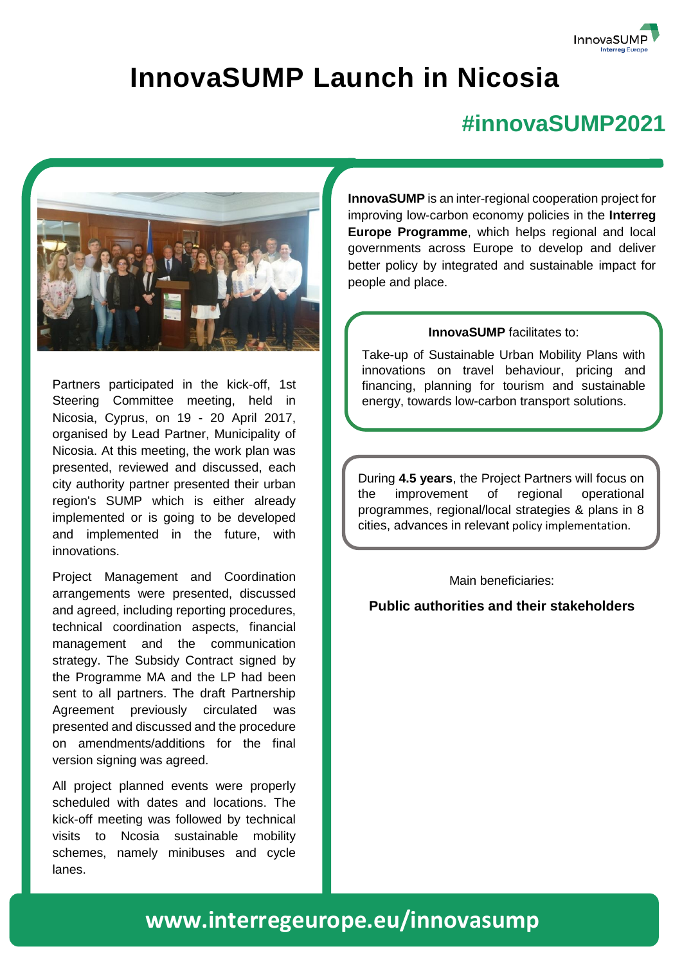

## **InnovaSUMP Launch in Nicosia**

### **#innovaSUMP2021**



Partners participated in the kick-off, 1st Steering Committee meeting, held in Nicosia, Cyprus, on 19 - 20 April 2017, organised by Lead Partner, Municipality of Nicosia. At this meeting, the work plan was presented, reviewed and discussed, each city authority partner presented their urban region's SUMP which is either already implemented or is going to be developed and implemented in the future, with innovations.

Project Management and Coordination arrangements were presented, discussed and agreed, including reporting procedures, technical coordination aspects, financial management and the communication strategy. The Subsidy Contract signed by the Programme MA and the LP had been sent to all partners. The draft Partnership Agreement previously circulated was presented and discussed and the procedure on amendments/additions for the final version signing was agreed.

All project planned events were properly scheduled with dates and locations. The kick-off meeting was followed by technical visits to Ncosia sustainable mobility schemes, namely minibuses and cycle lanes.

**InnovaSUMP** is an inter-regional cooperation project for improving low-carbon economy policies in the **Interreg Europe Programme**, which helps regional and local governments across Europe to develop and deliver better policy by integrated and sustainable impact for people and place.

#### **InnovaSUMP** facilitates to:

Take-up of Sustainable Urban Mobility Plans with innovations on travel behaviour, pricing and financing, planning for tourism and sustainable energy, towards low-carbon transport solutions.

During **4.5 years**, the Project Partners will focus on the improvement of regional operational programmes, regional/local strategies & plans in 8 cities, advances in relevant policy implementation.

#### Main beneficiaries:

#### **Public authorities and their stakeholders**

### **www.interregeurope.eu/innovasump**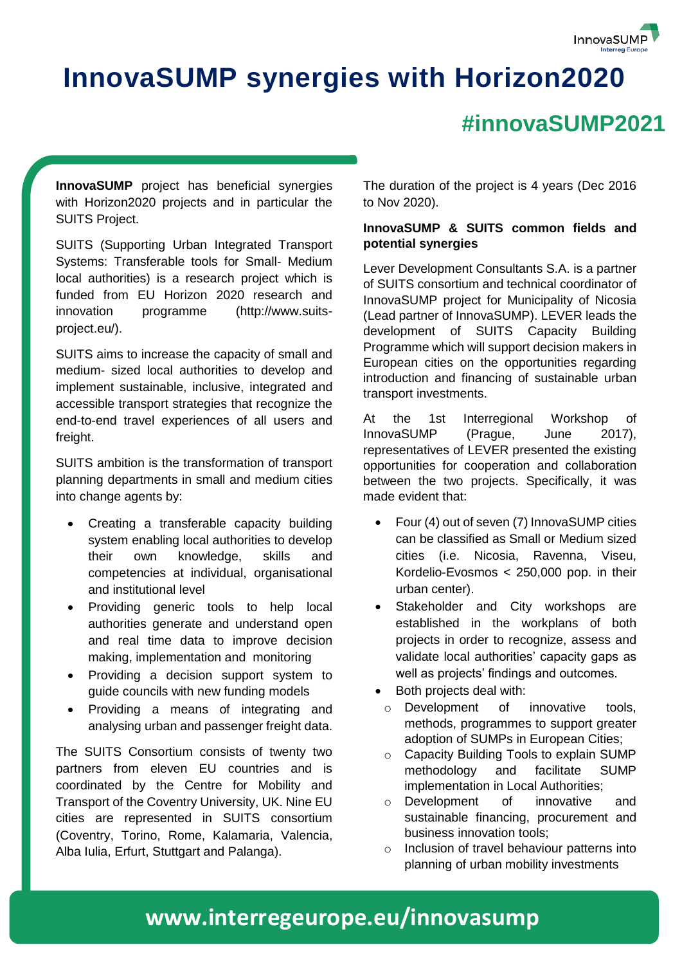

## **InnovaSUMP synergies with Horizon2020**

### **#innovaSUMP2021**

**InnovaSUMP** project has beneficial synergies with Horizon2020 projects and in particular the SUITS Project.

SUITS (Supporting Urban Integrated Transport Systems: Transferable tools for Small- Medium local authorities) is a research project which is funded from EU Horizon 2020 research and innovation programme (http://www.suitsproject.eu/).

SUITS aims to increase the capacity of small and medium- sized local authorities to develop and implement sustainable, inclusive, integrated and accessible transport strategies that recognize the end-to-end travel experiences of all users and freight.

SUITS ambition is the transformation of transport planning departments in small and medium cities into change agents by:

- Creating a transferable capacity building system enabling local authorities to develop their own knowledge, skills and competencies at individual, organisational and institutional level
- Providing generic tools to help local authorities generate and understand open and real time data to improve decision making, implementation and monitoring
- Providing a decision support system to guide councils with new funding models
- Providing a means of integrating and analysing urban and passenger freight data.

The SUITS Consortium consists of twenty two partners from eleven EU countries and is coordinated by the Centre for Mobility and Transport of the Coventry University, UK. Nine EU cities are represented in SUITS consortium (Coventry, Torino, Rome, Kalamaria, Valencia, Alba Iulia, Erfurt, Stuttgart and Palanga).

The duration of the project is 4 years (Dec 2016 to Nov 2020).

### **InnovaSUMP & SUITS common fields and potential synergies**

Lever Development Consultants S.A. is a partner of SUITS consortium and technical coordinator of InnovaSUMP project for Municipality of Nicosia (Lead partner of InnovaSUMP). LEVER leads the development of SUITS Capacity Building Programme which will support decision makers in European cities on the opportunities regarding introduction and financing of sustainable urban transport investments.

At the 1st Interregional Workshop of InnovaSUMP (Prague, June 2017), representatives of LEVER presented the existing opportunities for cooperation and collaboration between the two projects. Specifically, it was made evident that:

- Four (4) out of seven (7) InnovaSUMP cities can be classified as Small or Medium sized cities (i.e. Nicosia, Ravenna, Viseu, Kordelio-Evosmos < 250,000 pop. in their urban center).
- Stakeholder and City workshops are established in the workplans of both projects in order to recognize, assess and validate local authorities' capacity gaps as well as projects' findings and outcomes.
- Both projects deal with:
	- o Development of innovative tools, methods, programmes to support greater adoption of SUMPs in European Cities;
	- o Capacity Building Tools to explain SUMP methodology and facilitate SUMP implementation in Local Authorities;
- o Development of innovative and sustainable financing, procurement and business innovation tools;
- o Inclusion of travel behaviour patterns into planning of urban mobility investments

### **www.interregeurope.eu/innovasump**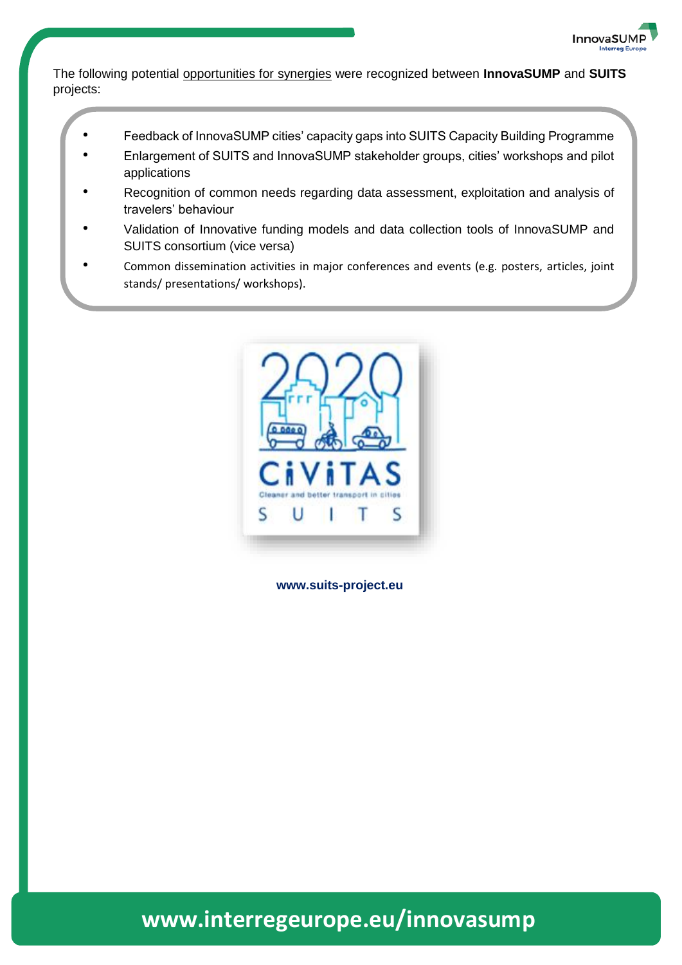

The following potential opportunities for synergies were recognized between **InnovaSUMP** and **SUITS** projects:

- Feedback of InnovaSUMP cities' capacity gaps into SUITS Capacity Building Programme
- Enlargement of SUITS and InnovaSUMP stakeholder groups, cities' workshops and pilot applications
- Recognition of common needs regarding data assessment, exploitation and analysis of travelers' behaviour
- Validation of Innovative funding models and data collection tools of InnovaSUMP and SUITS consortium (vice versa)
- Common dissemination activities in major conferences and events (e.g. posters, articles, joint stands/ presentations/ workshops).



**www.suits-project.eu**

**www.interregeurope.eu/innovasump**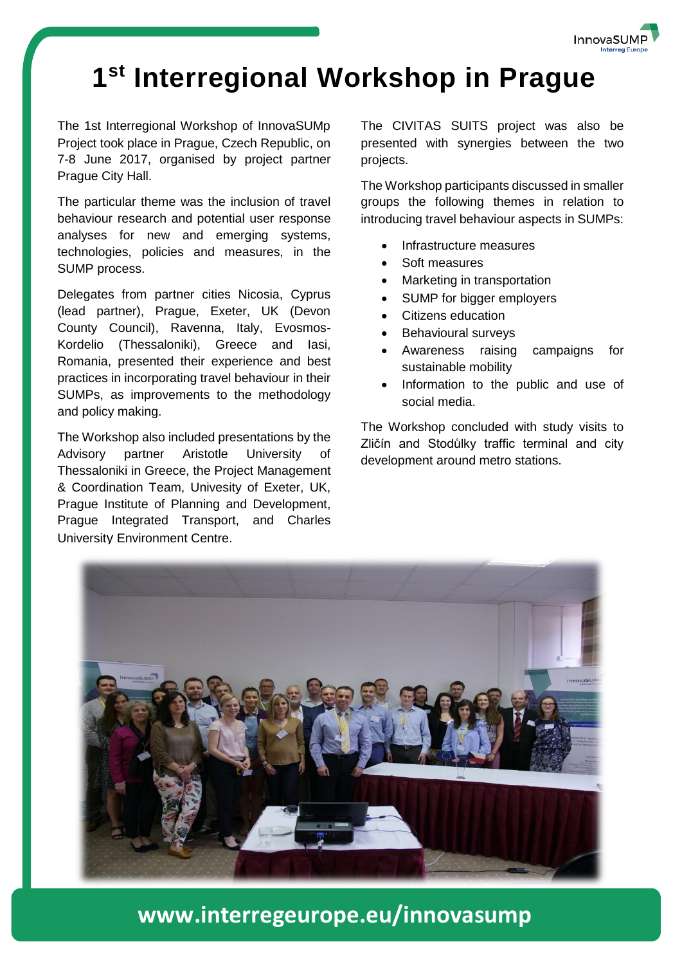

## **1 st Interregional Workshop in Prague**

The 1st Interregional Workshop of InnovaSUMp Project took place in Prague, Czech Republic, on 7-8 June 2017, organised by project partner Prague City Hall.

The particular theme was the inclusion of travel behaviour research and potential user response analyses for new and emerging systems, technologies, policies and measures, in the SUMP process.

Delegates from partner cities Nicosia, Cyprus (lead partner), Prague, Exeter, UK (Devon County Council), Ravenna, Italy, Evosmos-Kordelio (Thessaloniki), Greece and Iasi, Romania, presented their experience and best practices in incorporating travel behaviour in their SUMPs, as improvements to the methodology and policy making.

The Workshop also included presentations by the Advisory partner Aristotle University of Thessaloniki in Greece, the Project Management & Coordination Team, Univesity of Exeter, UK, Prague Institute of Planning and Development, Prague Integrated Transport, and Charles University Environment Centre.

The CIVITAS SUITS project was also be presented with synergies between the two projects.

The Workshop participants discussed in smaller groups the following themes in relation to introducing travel behaviour aspects in SUMPs:

- Infrastructure measures
- Soft measures
- Marketing in transportation
- SUMP for bigger employers
- Citizens education
- Behavioural surveys
- Awareness raising campaigns for sustainable mobility
- Information to the public and use of social media.

The Workshop concluded with study visits to Zličín and Stodůlky traffic terminal and city development around metro stations.



**www.interregeurope.eu/innovasump**